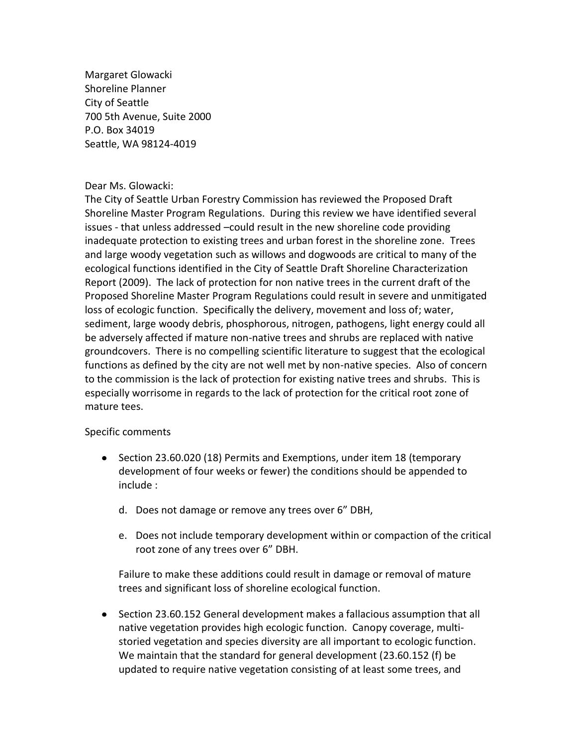Margaret Glowacki Shoreline Planner City of Seattle 700 5th Avenue, Suite 2000 P.O. Box 34019 Seattle, WA 98124-4019

## Dear Ms. Glowacki:

The City of Seattle Urban Forestry Commission has reviewed the Proposed Draft Shoreline Master Program Regulations. During this review we have identified several issues - that unless addressed –could result in the new shoreline code providing inadequate protection to existing trees and urban forest in the shoreline zone. Trees and large woody vegetation such as willows and dogwoods are critical to many of the ecological functions identified in the City of Seattle Draft Shoreline Characterization Report (2009). The lack of protection for non native trees in the current draft of the Proposed Shoreline Master Program Regulations could result in severe and unmitigated loss of ecologic function. Specifically the delivery, movement and loss of; water, sediment, large woody debris, phosphorous, nitrogen, pathogens, light energy could all be adversely affected if mature non-native trees and shrubs are replaced with native groundcovers. There is no compelling scientific literature to suggest that the ecological functions as defined by the city are not well met by non-native species. Also of concern to the commission is the lack of protection for existing native trees and shrubs. This is especially worrisome in regards to the lack of protection for the critical root zone of mature tees.

## Specific comments

- Section 23.60.020 (18) Permits and Exemptions, under item 18 (temporary development of four weeks or fewer) the conditions should be appended to include :
	- d. Does not damage or remove any trees over 6" DBH,
	- e. Does not include temporary development within or compaction of the critical root zone of any trees over 6" DBH.

Failure to make these additions could result in damage or removal of mature trees and significant loss of shoreline ecological function.

• Section 23.60.152 General development makes a fallacious assumption that all native vegetation provides high ecologic function. Canopy coverage, multistoried vegetation and species diversity are all important to ecologic function. We maintain that the standard for general development (23.60.152 (f) be updated to require native vegetation consisting of at least some trees, and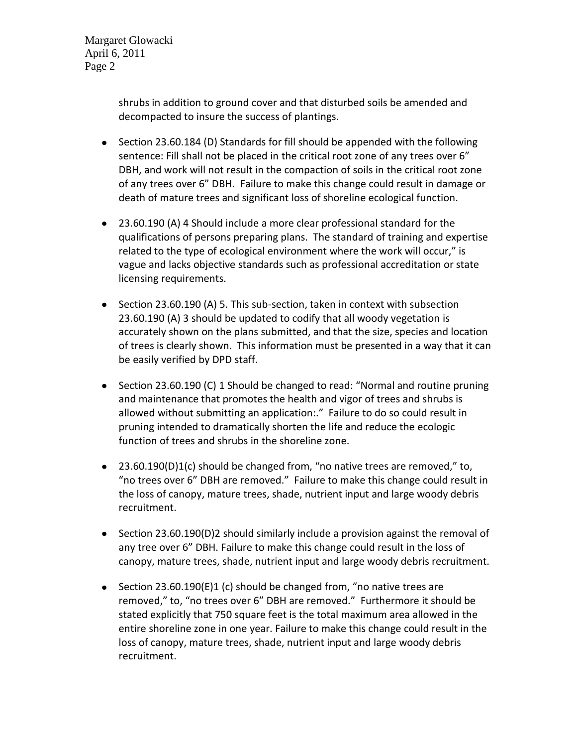Margaret Glowacki April 6, 2011 Page 2

> shrubs in addition to ground cover and that disturbed soils be amended and decompacted to insure the success of plantings.

- Section 23.60.184 (D) Standards for fill should be appended with the following sentence: Fill shall not be placed in the critical root zone of any trees over 6" DBH, and work will not result in the compaction of soils in the critical root zone of any trees over 6" DBH. Failure to make this change could result in damage or death of mature trees and significant loss of shoreline ecological function.
- 23.60.190 (A) 4 Should include a more clear professional standard for the qualifications of persons preparing plans. The standard of training and expertise related to the type of ecological environment where the work will occur," is vague and lacks objective standards such as professional accreditation or state licensing requirements.
- Section 23.60.190 (A) 5. This sub-section, taken in context with subsection 23.60.190 (A) 3 should be updated to codify that all woody vegetation is accurately shown on the plans submitted, and that the size, species and location of trees is clearly shown. This information must be presented in a way that it can be easily verified by DPD staff.
- Section 23.60.190 (C) 1 Should be changed to read: "Normal and routine pruning and maintenance that promotes the health and vigor of trees and shrubs is allowed without submitting an application:." Failure to do so could result in pruning intended to dramatically shorten the life and reduce the ecologic function of trees and shrubs in the shoreline zone.
- 23.60.190(D)1(c) should be changed from, "no native trees are removed," to, "no trees over 6" DBH are removed." Failure to make this change could result in the loss of canopy, mature trees, shade, nutrient input and large woody debris recruitment.
- $\bullet$  Section 23.60.190(D)2 should similarly include a provision against the removal of any tree over 6" DBH. Failure to make this change could result in the loss of canopy, mature trees, shade, nutrient input and large woody debris recruitment.
- Section 23.60.190(E)1 (c) should be changed from, "no native trees are removed," to, "no trees over 6" DBH are removed." Furthermore it should be stated explicitly that 750 square feet is the total maximum area allowed in the entire shoreline zone in one year. Failure to make this change could result in the loss of canopy, mature trees, shade, nutrient input and large woody debris recruitment.